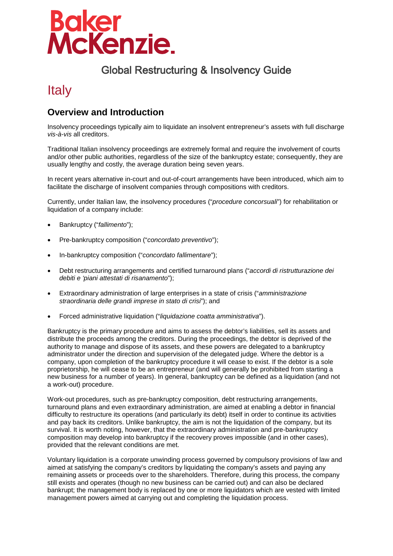# **Baker<br>McKenzie.**

## Global Restructuring & Insolvency Guide

# **Italy**

### **Overview and Introduction**

Insolvency proceedings typically aim to liquidate an insolvent entrepreneur's assets with full discharge *vis-à-vis* all creditors.

Traditional Italian insolvency proceedings are extremely formal and require the involvement of courts and/or other public authorities, regardless of the size of the bankruptcy estate; consequently, they are usually lengthy and costly, the average duration being seven years.

In recent years alternative in-court and out-of-court arrangements have been introduced, which aim to facilitate the discharge of insolvent companies through compositions with creditors.

Currently, under Italian law, the insolvency procedures ("*procedure concorsuali*") for rehabilitation or liquidation of a company include:

- Bankruptcy ("*fallimento*");
- Pre-bankruptcy composition ("*concordato preventivo*");
- In-bankruptcy composition ("*concordato fallimentare*");
- Debt restructuring arrangements and certified turnaround plans ("*accordi di ristrutturazione dei debiti e 'piani attestati di risanamento*");
- Extraordinary administration of large enterprises in a state of crisis ("*amministrazione straordinaria delle grandi imprese in stato di crisi*"); and
- Forced administrative liquidation ("*liquidazione coatta amministrativa*").

Bankruptcy is the primary procedure and aims to assess the debtor's liabilities, sell its assets and distribute the proceeds among the creditors. During the proceedings, the debtor is deprived of the authority to manage and dispose of its assets, and these powers are delegated to a bankruptcy administrator under the direction and supervision of the delegated judge. Where the debtor is a company, upon completion of the bankruptcy procedure it will cease to exist. If the debtor is a sole proprietorship, he will cease to be an entrepreneur (and will generally be prohibited from starting a new business for a number of years). In general, bankruptcy can be defined as a liquidation (and not a work-out) procedure.

Work-out procedures, such as pre-bankruptcy composition, debt restructuring arrangements, turnaround plans and even extraordinary administration, are aimed at enabling a debtor in financial difficulty to restructure its operations (and particularly its debt) itself in order to continue its activities and pay back its creditors. Unlike bankruptcy, the aim is not the liquidation of the company, but its survival. It is worth noting, however, that the extraordinary administration and pre-bankruptcy composition may develop into bankruptcy if the recovery proves impossible (and in other cases), provided that the relevant conditions are met.

Voluntary liquidation is a corporate unwinding process governed by compulsory provisions of law and aimed at satisfying the company's creditors by liquidating the company's assets and paying any remaining assets or proceeds over to the shareholders. Therefore, during this process, the company still exists and operates (though no new business can be carried out) and can also be declared bankrupt; the management body is replaced by one or more liquidators which are vested with limited management powers aimed at carrying out and completing the liquidation process.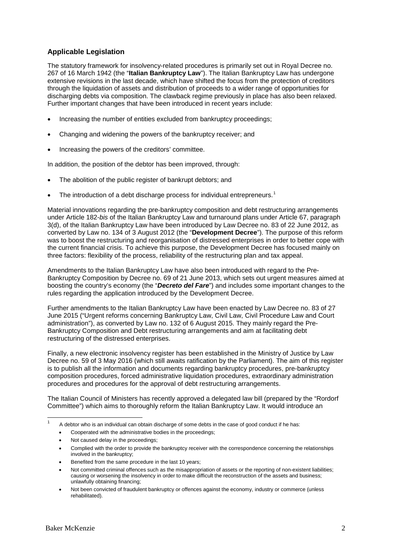#### **Applicable Legislation**

The statutory framework for insolvency-related procedures is primarily set out in Royal Decree no. 267 of 16 March 1942 (the "**Italian Bankruptcy Law**"). The Italian Bankruptcy Law has undergone extensive revisions in the last decade, which have shifted the focus from the protection of creditors through the liquidation of assets and distribution of proceeds to a wider range of opportunities for discharging debts via composition. The clawback regime previously in place has also been relaxed. Further important changes that have been introduced in recent years include:

- Increasing the number of entities excluded from bankruptcy proceedings;
- Changing and widening the powers of the bankruptcy receiver; and
- Increasing the powers of the creditors' committee.

In addition, the position of the debtor has been improved, through:

- The abolition of the public register of bankrupt debtors; and
- The introduction of a debt discharge process for individual entrepreneurs.<sup>[1](#page-1-0)</sup>

Material innovations regarding the pre-bankruptcy composition and debt restructuring arrangements under Article 182-*bis* of the Italian Bankruptcy Law and turnaround plans under Article 67, paragraph 3(d), of the Italian Bankruptcy Law have been introduced by Law Decree no. 83 of 22 June 2012, as converted by Law no. 134 of 3 August 2012 (the "**Development Decree**"). The purpose of this reform was to boost the restructuring and reorganisation of distressed enterprises in order to better cope with the current financial crisis. To achieve this purpose, the Development Decree has focused mainly on three factors: flexibility of the process, reliability of the restructuring plan and tax appeal.

Amendments to the Italian Bankruptcy Law have also been introduced with regard to the Pre-Bankruptcy Composition by Decree no. 69 of 21 June 2013, which sets out urgent measures aimed at boosting the country's economy (the "*Decreto del Fare*") and includes some important changes to the rules regarding the application introduced by the Development Decree.

Further amendments to the Italian Bankruptcy Law have been enacted by Law Decree no. 83 of 27 June 2015 ("Urgent reforms concerning Bankruptcy Law, Civil Law, Civil Procedure Law and Court administration"), as converted by Law no. 132 of 6 August 2015. They mainly regard the Pre-Bankruptcy Composition and Debt restructuring arrangements and aim at facilitating debt restructuring of the distressed enterprises.

Finally, a new electronic insolvency register has been established in the Ministry of Justice by Law Decree no. 59 of 3 May 2016 (which still awaits ratification by the Parliament). The aim of this register is to publish all the information and documents regarding bankruptcy procedures, pre-bankruptcy composition procedures, forced administrative liquidation procedures, extraordinary administration procedures and procedures for the approval of debt restructuring arrangements.

The Italian Council of Ministers has recently approved a delegated law bill (prepared by the "Rordorf Committee") which aims to thoroughly reform the Italian Bankruptcy Law. It would introduce an

- Cooperated with the administrative bodies in the proceedings;
- Not caused delay in the proceedings;
- Complied with the order to provide the bankruptcy receiver with the correspondence concerning the relationships involved in the bankruptcy;
- Benefited from the same procedure in the last 10 years;

<span id="page-1-0"></span> $\overline{a}$ 

A debtor who is an individual can obtain discharge of some debts in the case of good conduct if he has:

Not committed criminal offences such as the misappropriation of assets or the reporting of non-existent liabilities; causing or worsening the insolvency in order to make difficult the reconstruction of the assets and business; unlawfully obtaining financing;

Not been convicted of fraudulent bankruptcy or offences against the economy, industry or commerce (unless rehabilitated).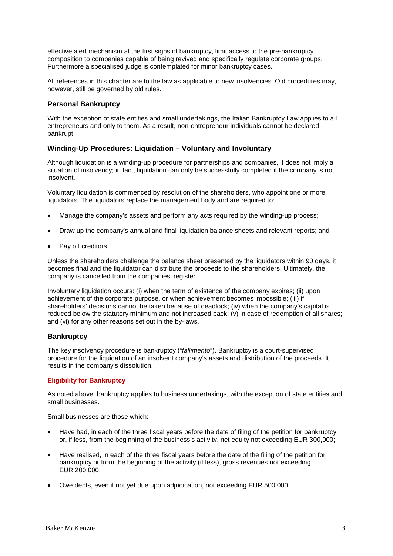effective alert mechanism at the first signs of bankruptcy, limit access to the pre-bankruptcy composition to companies capable of being revived and specifically regulate corporate groups. Furthermore a specialised judge is contemplated for minor bankruptcy cases.

All references in this chapter are to the law as applicable to new insolvencies. Old procedures may, however, still be governed by old rules.

#### **Personal Bankruptcy**

With the exception of state entities and small undertakings, the Italian Bankruptcy Law applies to all entrepreneurs and only to them. As a result, non-entrepreneur individuals cannot be declared bankrupt.

#### **Winding-Up Procedures: Liquidation – Voluntary and Involuntary**

Although liquidation is a winding-up procedure for partnerships and companies, it does not imply a situation of insolvency; in fact, liquidation can only be successfully completed if the company is not insolvent.

Voluntary liquidation is commenced by resolution of the shareholders, who appoint one or more liquidators. The liquidators replace the management body and are required to:

- Manage the company's assets and perform any acts required by the winding-up process;
- Draw up the company's annual and final liquidation balance sheets and relevant reports; and
- Pay off creditors.

Unless the shareholders challenge the balance sheet presented by the liquidators within 90 days, it becomes final and the liquidator can distribute the proceeds to the shareholders. Ultimately, the company is cancelled from the companies' register.

Involuntary liquidation occurs: (i) when the term of existence of the company expires; (ii) upon achievement of the corporate purpose, or when achievement becomes impossible; (iii) if shareholders' decisions cannot be taken because of deadlock; (iv) when the company's capital is reduced below the statutory minimum and not increased back; (v) in case of redemption of all shares; and (vi) for any other reasons set out in the by-laws.

#### **Bankruptcy**

The key insolvency procedure is bankruptcy ("*fallimento*"). Bankruptcy is a court-supervised procedure for the liquidation of an insolvent company's assets and distribution of the proceeds. It results in the company's dissolution.

#### **Eligibility for Bankruptcy**

As noted above, bankruptcy applies to business undertakings, with the exception of state entities and small businesses.

Small businesses are those which:

- Have had, in each of the three fiscal years before the date of filing of the petition for bankruptcy or, if less, from the beginning of the business's activity, net equity not exceeding EUR 300,000;
- Have realised, in each of the three fiscal years before the date of the filing of the petition for bankruptcy or from the beginning of the activity (if less), gross revenues not exceeding EUR 200,000;
- Owe debts, even if not yet due upon adjudication, not exceeding EUR 500,000.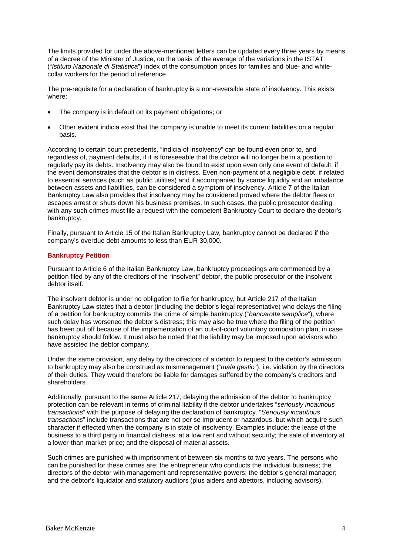The limits provided for under the above-mentioned letters can be updated every three years by means of a decree of the Minister of Justice, on the basis of the average of the variations in the ISTAT ("*Istituto Nazionale di Statistica*") index of the consumption prices for families and blue- and whitecollar workers for the period of reference.

The pre-requisite for a declaration of bankruptcy is a non-reversible state of insolvency. This exists where:

- The company is in default on its payment obligations; or
- Other evident indicia exist that the company is unable to meet its current liabilities on a regular basis.

According to certain court precedents, "indicia of insolvency" can be found even prior to, and regardless of, payment defaults, if it is foreseeable that the debtor will no longer be in a position to regularly pay its debts. Insolvency may also be found to exist upon even only one event of default, if the event demonstrates that the debtor is in distress. Even non-payment of a negligible debt, if related to essential services (such as public utilities) and if accompanied by scarce liquidity and an imbalance between assets and liabilities, can be considered a symptom of insolvency. Article 7 of the Italian Bankruptcy Law also provides that insolvency may be considered proved where the debtor flees or escapes arrest or shuts down his business premises. In such cases, the public prosecutor dealing with any such crimes must file a request with the competent Bankruptcy Court to declare the debtor's bankruptcy.

Finally, pursuant to Article 15 of the Italian Bankruptcy Law, bankruptcy cannot be declared if the company's overdue debt amounts to less than EUR 30,000.

#### **Bankruptcy Petition**

Pursuant to Article 6 of the Italian Bankruptcy Law, bankruptcy proceedings are commenced by a petition filed by any of the creditors of the "insolvent" debtor, the public prosecutor or the insolvent debtor itself.

The insolvent debtor is under no obligation to file for bankruptcy, but Article 217 of the Italian Bankruptcy Law states that a debtor (including the debtor's legal representative) who delays the filing of a petition for bankruptcy commits the crime of simple bankruptcy ("*bancarotta semplice*"), where such delay has worsened the debtor's distress; this may also be true where the filing of the petition has been put off because of the implementation of an out-of-court voluntary composition plan, in case bankruptcy should follow. It must also be noted that the liability may be imposed upon advisors who have assisted the debtor company.

Under the same provision, any delay by the directors of a debtor to request to the debtor's admission to bankruptcy may also be construed as mismanagement ("*mala gestio*"), i.e. violation by the directors of their duties. They would therefore be liable for damages suffered by the company's creditors and shareholders.

Additionally, pursuant to the same Article 217, delaying the admission of the debtor to bankruptcy protection can be relevant in terms of criminal liability if the debtor undertakes "*seriously incautious transactions*" with the purpose of delaying the declaration of bankruptcy. "*Seriously incautious transactions*" include transactions that are not per se imprudent or hazardous, but which acquire such character if effected when the company is in state of insolvency. Examples include: the lease of the business to a third party in financial distress, at a low rent and without security; the sale of inventory at a lower-than-market-price; and the disposal of material assets.

Such crimes are punished with imprisonment of between six months to two years. The persons who can be punished for these crimes are: the entrepreneur who conducts the individual business; the directors of the debtor with management and representative powers; the debtor's general manager; and the debtor's liquidator and statutory auditors (plus aiders and abettors, including advisors).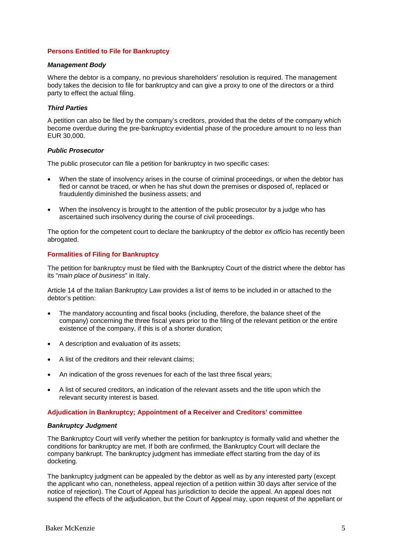#### **Persons Entitled to File for Bankruptcy**

#### *Management Body*

Where the debtor is a company, no previous shareholders' resolution is required. The management body takes the decision to file for bankruptcy and can give a proxy to one of the directors or a third party to effect the actual filing.

#### *Third Parties*

A petition can also be filed by the company's creditors, provided that the debts of the company which become overdue during the pre-bankruptcy evidential phase of the procedure amount to no less than EUR 30,000.

#### *Public Prosecutor*

The public prosecutor can file a petition for bankruptcy in two specific cases:

- When the state of insolvency arises in the course of criminal proceedings, or when the debtor has fled or cannot be traced, or when he has shut down the premises or disposed of, replaced or fraudulently diminished the business assets; and
- When the insolvency is brought to the attention of the public prosecutor by a judge who has ascertained such insolvency during the course of civil proceedings.

The option for the competent court to declare the bankruptcy of the debtor *ex officio* has recently been abrogated.

#### **Formalities of Filing for Bankruptcy**

The petition for bankruptcy must be filed with the Bankruptcy Court of the district where the debtor has its "*main place of business*" in Italy.

Article 14 of the Italian Bankruptcy Law provides a list of items to be included in or attached to the debtor's petition:

- The mandatory accounting and fiscal books (including, therefore, the balance sheet of the company) concerning the three fiscal years prior to the filing of the relevant petition or the entire existence of the company, if this is of a shorter duration;
- A description and evaluation of its assets;
- A list of the creditors and their relevant claims;
- An indication of the gross revenues for each of the last three fiscal years;
- A list of secured creditors, an indication of the relevant assets and the title upon which the relevant security interest is based.

#### **Adjudication in Bankruptcy; Appointment of a Receiver and Creditors' committee**

#### *Bankruptcy Judgment*

The Bankruptcy Court will verify whether the petition for bankruptcy is formally valid and whether the conditions for bankruptcy are met. If both are confirmed, the Bankruptcy Court will declare the company bankrupt. The bankruptcy judgment has immediate effect starting from the day of its docketing.

The bankruptcy judgment can be appealed by the debtor as well as by any interested party (except the applicant who can, nonetheless, appeal rejection of a petition within 30 days after service of the notice of rejection). The Court of Appeal has jurisdiction to decide the appeal. An appeal does not suspend the effects of the adjudication, but the Court of Appeal may, upon request of the appellant or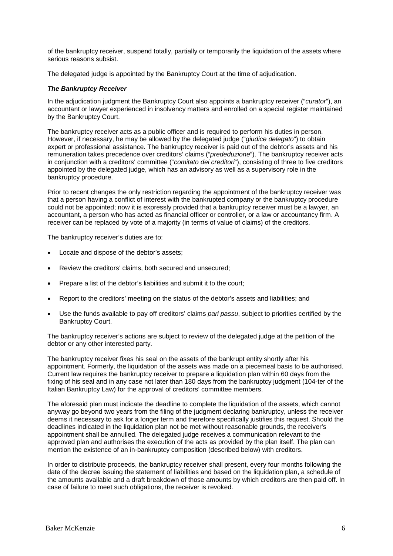of the bankruptcy receiver, suspend totally, partially or temporarily the liquidation of the assets where serious reasons subsist.

The delegated judge is appointed by the Bankruptcy Court at the time of adjudication.

#### *The Bankruptcy Receiver*

In the adjudication judgment the Bankruptcy Court also appoints a bankruptcy receiver ("*curator*"), an accountant or lawyer experienced in insolvency matters and enrolled on a special register maintained by the Bankruptcy Court.

The bankruptcy receiver acts as a public officer and is required to perform his duties in person. However, if necessary, he may be allowed by the delegated judge ("*giudice delegato*") to obtain expert or professional assistance. The bankruptcy receiver is paid out of the debtor's assets and his remuneration takes precedence over creditors' claims ("*prededuzione*"). The bankruptcy receiver acts in conjunction with a creditors' committee ("*comitato dei creditori*"), consisting of three to five creditors appointed by the delegated judge, which has an advisory as well as a supervisory role in the bankruptcy procedure.

Prior to recent changes the only restriction regarding the appointment of the bankruptcy receiver was that a person having a conflict of interest with the bankrupted company or the bankruptcy procedure could not be appointed; now it is expressly provided that a bankruptcy receiver must be a lawyer, an accountant, a person who has acted as financial officer or controller, or a law or accountancy firm. A receiver can be replaced by vote of a majority (in terms of value of claims) of the creditors.

The bankruptcy receiver's duties are to:

- Locate and dispose of the debtor's assets;
- Review the creditors' claims, both secured and unsecured;
- Prepare a list of the debtor's liabilities and submit it to the court;
- Report to the creditors' meeting on the status of the debtor's assets and liabilities; and
- Use the funds available to pay off creditors' claims *pari passu*, subject to priorities certified by the Bankruptcy Court.

The bankruptcy receiver's actions are subject to review of the delegated judge at the petition of the debtor or any other interested party.

The bankruptcy receiver fixes his seal on the assets of the bankrupt entity shortly after his appointment. Formerly, the liquidation of the assets was made on a piecemeal basis to be authorised. Current law requires the bankruptcy receiver to prepare a liquidation plan within 60 days from the fixing of his seal and in any case not later than 180 days from the bankruptcy judgment (104-ter of the Italian Bankruptcy Law) for the approval of creditors' committee members.

The aforesaid plan must indicate the deadline to complete the liquidation of the assets, which cannot anyway go beyond two years from the filing of the judgment declaring bankruptcy, unless the receiver deems it necessary to ask for a longer term and therefore specifically justifies this request. Should the deadlines indicated in the liquidation plan not be met without reasonable grounds, the receiver's appointment shall be annulled. The delegated judge receives a communication relevant to the approved plan and authorises the execution of the acts as provided by the plan itself. The plan can mention the existence of an in-bankruptcy composition (described below) with creditors.

In order to distribute proceeds, the bankruptcy receiver shall present, every four months following the date of the decree issuing the statement of liabilities and based on the liquidation plan, a schedule of the amounts available and a draft breakdown of those amounts by which creditors are then paid off. In case of failure to meet such obligations, the receiver is revoked.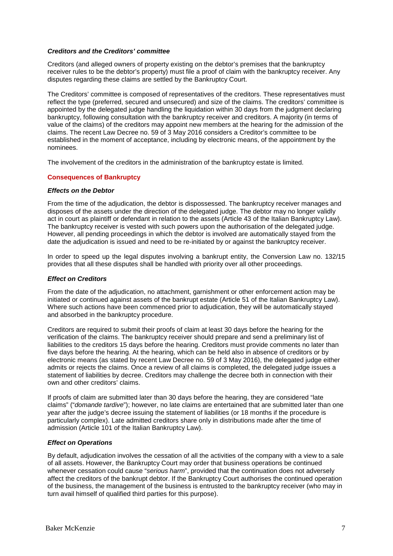#### *Creditors and the Creditors' committee*

Creditors (and alleged owners of property existing on the debtor's premises that the bankruptcy receiver rules to be the debtor's property) must file a proof of claim with the bankruptcy receiver. Any disputes regarding these claims are settled by the Bankruptcy Court.

The Creditors' committee is composed of representatives of the creditors. These representatives must reflect the type (preferred, secured and unsecured) and size of the claims. The creditors' committee is appointed by the delegated judge handling the liquidation within 30 days from the judgment declaring bankruptcy, following consultation with the bankruptcy receiver and creditors. A majority (in terms of value of the claims) of the creditors may appoint new members at the hearing for the admission of the claims. The recent Law Decree no. 59 of 3 May 2016 considers a Creditor's committee to be established in the moment of acceptance, including by electronic means, of the appointment by the nominees.

The involvement of the creditors in the administration of the bankruptcy estate is limited.

#### **Consequences of Bankruptcy**

#### *Effects on the Debtor*

From the time of the adjudication, the debtor is dispossessed. The bankruptcy receiver manages and disposes of the assets under the direction of the delegated judge. The debtor may no longer validly act in court as plaintiff or defendant in relation to the assets (Article 43 of the Italian Bankruptcy Law). The bankruptcy receiver is vested with such powers upon the authorisation of the delegated judge. However, all pending proceedings in which the debtor is involved are automatically stayed from the date the adjudication is issued and need to be re-initiated by or against the bankruptcy receiver.

In order to speed up the legal disputes involving a bankrupt entity, the Conversion Law no. 132/15 provides that all these disputes shall be handled with priority over all other proceedings.

#### *Effect on Creditors*

From the date of the adjudication, no attachment, garnishment or other enforcement action may be initiated or continued against assets of the bankrupt estate (Article 51 of the Italian Bankruptcy Law). Where such actions have been commenced prior to adjudication, they will be automatically stayed and absorbed in the bankruptcy procedure.

Creditors are required to submit their proofs of claim at least 30 days before the hearing for the verification of the claims. The bankruptcy receiver should prepare and send a preliminary list of liabilities to the creditors 15 days before the hearing. Creditors must provide comments no later than five days before the hearing. At the hearing, which can be held also in absence of creditors or by electronic means (as stated by recent Law Decree no. 59 of 3 May 2016), the delegated judge either admits or rejects the claims. Once a review of all claims is completed, the delegated judge issues a statement of liabilities by decree. Creditors may challenge the decree both in connection with their own and other creditors' claims.

If proofs of claim are submitted later than 30 days before the hearing, they are considered "late claims" ("*domande tardive*"); however, no late claims are entertained that are submitted later than one year after the judge's decree issuing the statement of liabilities (or 18 months if the procedure is particularly complex). Late admitted creditors share only in distributions made after the time of admission (Article 101 of the Italian Bankruptcy Law).

#### *Effect on Operations*

By default, adjudication involves the cessation of all the activities of the company with a view to a sale of all assets. However, the Bankruptcy Court may order that business operations be continued whenever cessation could cause "*serious harm*", provided that the continuation does not adversely affect the creditors of the bankrupt debtor. If the Bankruptcy Court authorises the continued operation of the business, the management of the business is entrusted to the bankruptcy receiver (who may in turn avail himself of qualified third parties for this purpose).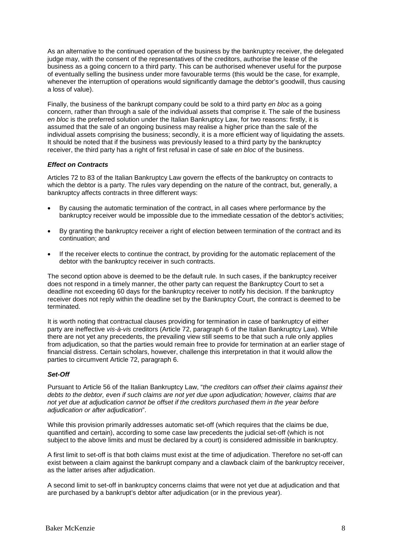As an alternative to the continued operation of the business by the bankruptcy receiver, the delegated judge may, with the consent of the representatives of the creditors, authorise the lease of the business as a going concern to a third party. This can be authorised whenever useful for the purpose of eventually selling the business under more favourable terms (this would be the case, for example, whenever the interruption of operations would significantly damage the debtor's goodwill, thus causing a loss of value).

Finally, the business of the bankrupt company could be sold to a third party *en bloc* as a going concern, rather than through a sale of the individual assets that comprise it. The sale of the business *en bloc* is the preferred solution under the Italian Bankruptcy Law, for two reasons: firstly, it is assumed that the sale of an ongoing business may realise a higher price than the sale of the individual assets comprising the business; secondly, it is a more efficient way of liquidating the assets. It should be noted that if the business was previously leased to a third party by the bankruptcy receiver, the third party has a right of first refusal in case of sale *en bloc* of the business.

#### *Effect on Contracts*

Articles 72 to 83 of the Italian Bankruptcy Law govern the effects of the bankruptcy on contracts to which the debtor is a party. The rules vary depending on the nature of the contract, but, generally, a bankruptcy affects contracts in three different ways:

- By causing the automatic termination of the contract, in all cases where performance by the bankruptcy receiver would be impossible due to the immediate cessation of the debtor's activities;
- By granting the bankruptcy receiver a right of election between termination of the contract and its continuation; and
- If the receiver elects to continue the contract, by providing for the automatic replacement of the debtor with the bankruptcy receiver in such contracts.

The second option above is deemed to be the default rule. In such cases, if the bankruptcy receiver does not respond in a timely manner, the other party can request the Bankruptcy Court to set a deadline not exceeding 60 days for the bankruptcy receiver to notify his decision. If the bankruptcy receiver does not reply within the deadline set by the Bankruptcy Court, the contract is deemed to be terminated.

It is worth noting that contractual clauses providing for termination in case of bankruptcy of either party are ineffective *vis-à-vis* creditors (Article 72, paragraph 6 of the Italian Bankruptcy Law). While there are not yet any precedents, the prevailing view still seems to be that such a rule only applies from adjudication, so that the parties would remain free to provide for termination at an earlier stage of financial distress. Certain scholars, however, challenge this interpretation in that it would allow the parties to circumvent Article 72, paragraph 6.

#### *Set-Off*

Pursuant to Article 56 of the Italian Bankruptcy Law, "*the creditors can offset their claims against their debts to the debtor, even if such claims are not yet due upon adjudication; however, claims that are not yet due at adjudication cannot be offset if the creditors purchased them in the year before adjudication or after adjudication*".

While this provision primarily addresses automatic set-off (which requires that the claims be due, quantified and certain), according to some case law precedents the judicial set-off (which is not subject to the above limits and must be declared by a court) is considered admissible in bankruptcy.

A first limit to set-off is that both claims must exist at the time of adjudication. Therefore no set-off can exist between a claim against the bankrupt company and a clawback claim of the bankruptcy receiver, as the latter arises after adjudication.

A second limit to set-off in bankruptcy concerns claims that were not yet due at adjudication and that are purchased by a bankrupt's debtor after adjudication (or in the previous year).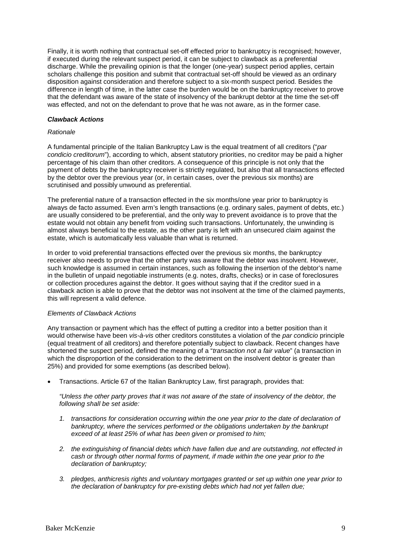Finally, it is worth nothing that contractual set-off effected prior to bankruptcy is recognised; however, if executed during the relevant suspect period, it can be subject to clawback as a preferential discharge. While the prevailing opinion is that the longer (one-year) suspect period applies, certain scholars challenge this position and submit that contractual set-off should be viewed as an ordinary disposition against consideration and therefore subject to a six-month suspect period. Besides the difference in length of time, in the latter case the burden would be on the bankruptcy receiver to prove that the defendant was aware of the state of insolvency of the bankrupt debtor at the time the set-off was effected, and not on the defendant to prove that he was not aware, as in the former case.

#### *Clawback Actions*

#### *Rationale*

A fundamental principle of the Italian Bankruptcy Law is the equal treatment of all creditors ("*par condicio creditorum*"), according to which, absent statutory priorities, no creditor may be paid a higher percentage of his claim than other creditors. A consequence of this principle is not only that the payment of debts by the bankruptcy receiver is strictly regulated, but also that all transactions effected by the debtor over the previous year (or, in certain cases, over the previous six months) are scrutinised and possibly unwound as preferential.

The preferential nature of a transaction effected in the six months/one year prior to bankruptcy is always de facto assumed. Even arm's length transactions (e.g. ordinary sales, payment of debts, etc.) are usually considered to be preferential, and the only way to prevent avoidance is to prove that the estate would not obtain any benefit from voiding such transactions. Unfortunately, the unwinding is almost always beneficial to the estate, as the other party is left with an unsecured claim against the estate, which is automatically less valuable than what is returned.

In order to void preferential transactions effected over the previous six months, the bankruptcy receiver also needs to prove that the other party was aware that the debtor was insolvent. However, such knowledge is assumed in certain instances, such as following the insertion of the debtor's name in the bulletin of unpaid negotiable instruments (e.g. notes, drafts, checks) or in case of foreclosures or collection procedures against the debtor. It goes without saying that if the creditor sued in a clawback action is able to prove that the debtor was not insolvent at the time of the claimed payments, this will represent a valid defence.

#### *Elements of Clawback Actions*

Any transaction or payment which has the effect of putting a creditor into a better position than it would otherwise have been *vis-à-vis* other creditors constitutes a violation of the *par condicio* principle (equal treatment of all creditors) and therefore potentially subject to clawback. Recent changes have shortened the suspect period, defined the meaning of a "*transaction not a fair value*" (a transaction in which the disproportion of the consideration to the detriment on the insolvent debtor is greater than 25%) and provided for some exemptions (as described below).

• Transactions. Article 67 of the Italian Bankruptcy Law, first paragraph, provides that:

"Unless the other party proves that it was not aware of the state of insolvency of the debtor, the *following shall be set aside:*

- *1. transactions for consideration occurring within the one year prior to the date of declaration of bankruptcy, where the services performed or the obligations undertaken by the bankrupt exceed of at least 25% of what has been given or promised to him;*
- *2. the extinguishing of financial debts which have fallen due and are outstanding, not effected in cash or through other normal forms of payment, if made within the one year prior to the declaration of bankruptcy;*
- *3. pledges, anthicresis rights and voluntary mortgages granted or set up within one year prior to the declaration of bankruptcy for pre-existing debts which had not yet fallen due;*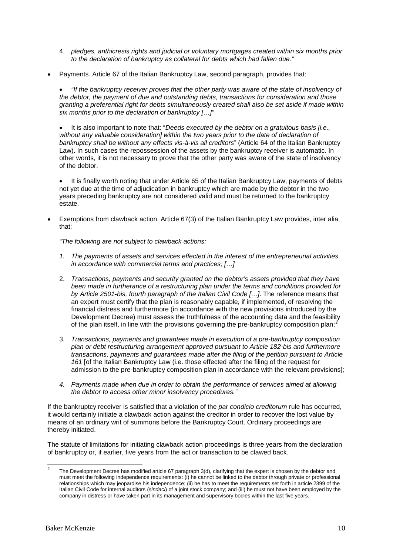- 4. *pledges, anthicresis rights and judicial or voluntary mortgages created within six months prior to the declaration of bankruptcy as collateral for debts which had fallen due."*
- Payments. Article 67 of the Italian Bankruptcy Law, second paragraph, provides that:

• *"If the bankruptcy receiver proves that the other party was aware of the state of insolvency of the debtor, the payment of due and outstanding debts, transactions for consideration and those granting a preferential right for debts simultaneously created shall also be set aside if made within six months prior to the declaration of bankruptcy […]"*

• It is also important to note that: "*Deeds executed by the debtor on a gratuitous basis [i.e., without any valuable consideration] within the two years prior to the date of declaration of bankruptcy shall be without any effects vis-à-vis all creditors*" (Article 64 of the Italian Bankruptcy Law). In such cases the repossession of the assets by the bankruptcy receiver is automatic. In other words, it is not necessary to prove that the other party was aware of the state of insolvency of the debtor.

• It is finally worth noting that under Article 65 of the Italian Bankruptcy Law, payments of debts not yet due at the time of adjudication in bankruptcy which are made by the debtor in the two years preceding bankruptcy are not considered valid and must be returned to the bankruptcy estate.

• Exemptions from clawback action. Article 67(3) of the Italian Bankruptcy Law provides, inter alia, that:

*"The following are not subject to clawback actions:*

- *1. The payments of assets and services effected in the interest of the entrepreneurial activities in accordance with commercial terms and practices; […]*
- 2. *Transactions, payments and security granted on the debtor's assets provided that they have been made in furtherance of a restructuring plan under the terms and conditions provided for by Article 2501-bis, fourth paragraph of the Italian Civil Code […]*. The reference means that an expert must certify that the plan is reasonably capable, if implemented, of resolving the financial distress and furthermore (in accordance with the new provisions introduced by the Development Decree) must assess the truthfulness of the accounting data and the feasibility of the plan itself, in line with the provisions governing the pre-bankruptcy composition plan;[2](#page-9-0)
- 3. *Transactions, payments and guarantees made in execution of a pre-bankruptcy composition plan or debt restructuring arrangement approved pursuant to Article 182-bis and furthermore transactions, payments and guarantees made after the filing of the petition pursuant to Article 161* [of the Italian Bankruptcy Law (i.e. those effected after the filing of the request for admission to the pre-bankruptcy composition plan in accordance with the relevant provisions];
- *4. Payments made when due in order to obtain the performance of services aimed at allowing the debtor to access other minor insolvency procedures."*

If the bankruptcy receiver is satisfied that a violation of the *par condicio creditorum* rule has occurred, it would certainly initiate a clawback action against the creditor in order to recover the lost value by means of an ordinary writ of summons before the Bankruptcy Court. Ordinary proceedings are thereby initiated.

The statute of limitations for initiating clawback action proceedings is three years from the declaration of bankruptcy or, if earlier, five years from the act or transaction to be clawed back.

<span id="page-9-0"></span>The Development Decree has modified article 67 paragraph 3(d), clarifying that the expert is chosen by the debtor and must meet the following independence requirements: (i) he cannot be linked to the debtor through private or professional relationships which may jeopardise his independence; (ii) he has to meet the requirements set forth in article 2399 of the Italian Civil Code for internal auditors (*sindaci*) of a joint stock company; and (iii) he must not have been employed by the company in distress or have taken part in its management and supervisory bodies within the last five years.  $\overline{2}$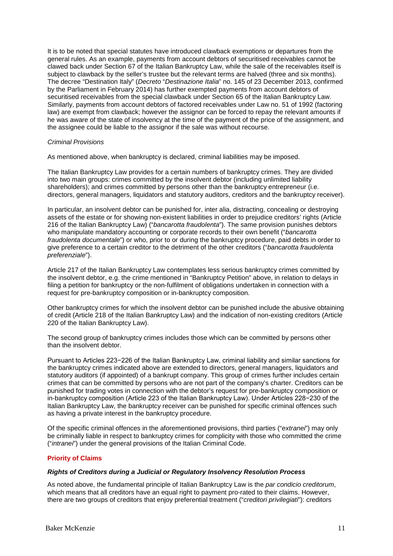It is to be noted that special statutes have introduced clawback exemptions or departures from the general rules. As an example, payments from account debtors of securitised receivables cannot be clawed back under Section 67 of the Italian Bankruptcy Law, while the sale of the receivables itself is subject to clawback by the seller's trustee but the relevant terms are halved (three and six months). The decree "Destination Italy" (*Decreto* "*Destinazione Italia*" no. 145 of 23 December 2013, confirmed by the Parliament in February 2014) has further exempted payments from account debtors of securitised receivables from the special clawback under Section 65 of the Italian Bankruptcy Law. Similarly, payments from account debtors of factored receivables under Law no. 51 of 1992 (factoring law) are exempt from clawback; however the assignor can be forced to repay the relevant amounts if he was aware of the state of insolvency at the time of the payment of the price of the assignment, and the assignee could be liable to the assignor if the sale was without recourse.

#### *Criminal Provisions*

As mentioned above, when bankruptcy is declared, criminal liabilities may be imposed.

The Italian Bankruptcy Law provides for a certain numbers of bankruptcy crimes. They are divided into two main groups: crimes committed by the insolvent debtor (including unlimited liability shareholders); and crimes committed by persons other than the bankruptcy entrepreneur (i.e. directors, general managers, liquidators and statutory auditors, creditors and the bankruptcy receiver).

In particular, an insolvent debtor can be punished for, inter alia, distracting, concealing or destroying assets of the estate or for showing non-existent liabilities in order to prejudice creditors' rights (Article 216 of the Italian Bankruptcy Law) ("*bancarotta fraudolenta*"). The same provision punishes debtors who manipulate mandatory accounting or corporate records to their own benefit ("*bancarotta fraudolenta documentale*") or who, prior to or during the bankruptcy procedure, paid debts in order to give preference to a certain creditor to the detriment of the other creditors ("*bancarotta fraudolenta preferenziale*").

Article 217 of the Italian Bankruptcy Law contemplates less serious bankruptcy crimes committed by the insolvent debtor, e.g. the crime mentioned in "Bankruptcy Petition" above, in relation to delays in filing a petition for bankruptcy or the non-fulfilment of obligations undertaken in connection with a request for pre-bankruptcy composition or in-bankruptcy composition.

Other bankruptcy crimes for which the insolvent debtor can be punished include the abusive obtaining of credit (Article 218 of the Italian Bankruptcy Law) and the indication of non-existing creditors (Article 220 of the Italian Bankruptcy Law).

The second group of bankruptcy crimes includes those which can be committed by persons other than the insolvent debtor.

Pursuant to Articles 223−226 of the Italian Bankruptcy Law, criminal liability and similar sanctions for the bankruptcy crimes indicated above are extended to directors, general managers, liquidators and statutory auditors (if appointed) of a bankrupt company. This group of crimes further includes certain crimes that can be committed by persons who are not part of the company's charter. Creditors can be punished for trading votes in connection with the debtor's request for pre-bankruptcy composition or in-bankruptcy composition (Article 223 of the Italian Bankruptcy Law). Under Articles 228−230 of the Italian Bankruptcy Law, the bankruptcy receiver can be punished for specific criminal offences such as having a private interest in the bankruptcy procedure.

Of the specific criminal offences in the aforementioned provisions, third parties ("*extranei*") may only be criminally liable in respect to bankruptcy crimes for complicity with those who committed the crime ("*intranei*") under the general provisions of the Italian Criminal Code.

#### **Priority of Claims**

#### *Rights of Creditors during a Judicial or Regulatory Insolvency Resolution Process*

As noted above, the fundamental principle of Italian Bankruptcy Law is the *par condicio creditorum*, which means that all creditors have an equal right to payment pro-rated to their claims. However, there are two groups of creditors that enjoy preferential treatment ("*creditori privilegiati*"): creditors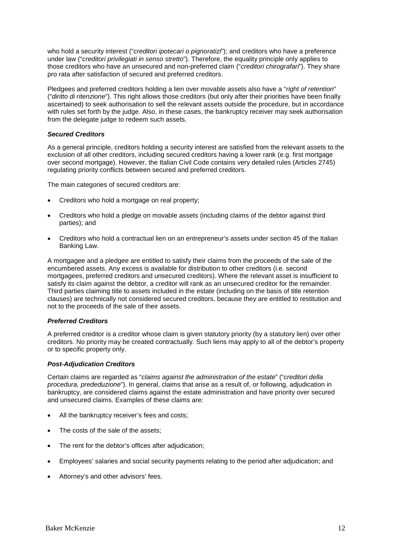who hold a security interest ("*creditori ipotecari o pignoratizi*"); and creditors who have a preference under law ("*creditori privilegiati in senso stretto*"). Therefore, the equality principle only applies to those creditors who have an unsecured and non-preferred claim ("*creditori chirografari*"). They share pro rata after satisfaction of secured and preferred creditors.

Pledgees and preferred creditors holding a lien over movable assets also have a "*right of retention*" ("*diritto di ritenzione*"). This right allows those creditors (but only after their priorities have been finally ascertained) to seek authorisation to sell the relevant assets outside the procedure, but in accordance with rules set forth by the judge. Also, in these cases, the bankruptcy receiver may seek authorisation from the delegate judge to redeem such assets.

#### *Secured Creditors*

As a general principle, creditors holding a security interest are satisfied from the relevant assets to the exclusion of all other creditors, including secured creditors having a lower rank (e.g. first mortgage over second mortgage). However, the Italian Civil Code contains very detailed rules (Articles 2745) regulating priority conflicts between secured and preferred creditors.

The main categories of secured creditors are:

- Creditors who hold a mortgage on real property;
- Creditors who hold a pledge on movable assets (including claims of the debtor against third parties); and
- Creditors who hold a contractual lien on an entrepreneur's assets under section 45 of the Italian Banking Law.

A mortgagee and a pledgee are entitled to satisfy their claims from the proceeds of the sale of the encumbered assets. Any excess is available for distribution to other creditors (i.e. second mortgagees, preferred creditors and unsecured creditors). Where the relevant asset is insufficient to satisfy its claim against the debtor, a creditor will rank as an unsecured creditor for the remainder. Third parties claiming title to assets included in the estate (including on the basis of title retention clauses) are technically not considered secured creditors, because they are entitled to restitution and not to the proceeds of the sale of their assets.

#### *Preferred Creditors*

A preferred creditor is a creditor whose claim is given statutory priority (by a statutory lien) over other creditors. No priority may be created contractually. Such liens may apply to all of the debtor's property or to specific property only.

#### *Post-Adjudication Creditors*

Certain claims are regarded as "*claims against the administration of the estate*" ("*creditori della procedura, prededuzione*"). In general, claims that arise as a result of, or following, adjudication in bankruptcy, are considered claims against the estate administration and have priority over secured and unsecured claims. Examples of these claims are:

- All the bankruptcy receiver's fees and costs;
- The costs of the sale of the assets;
- The rent for the debtor's offices after adjudication;
- Employees' salaries and social security payments relating to the period after adjudication; and
- Attorney's and other advisors' fees.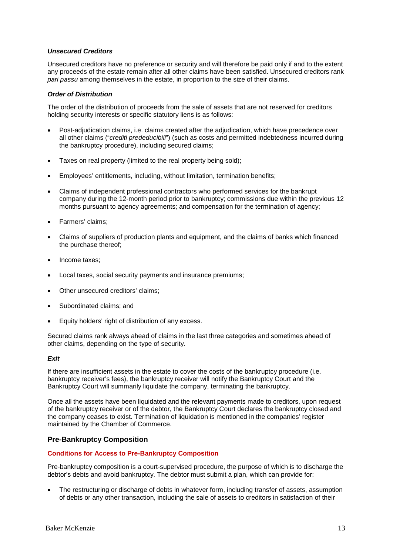#### *Unsecured Creditors*

Unsecured creditors have no preference or security and will therefore be paid only if and to the extent any proceeds of the estate remain after all other claims have been satisfied. Unsecured creditors rank *pari passu* among themselves in the estate, in proportion to the size of their claims.

#### *Order of Distribution*

The order of the distribution of proceeds from the sale of assets that are not reserved for creditors holding security interests or specific statutory liens is as follows:

- Post-adjudication claims, i.e. claims created after the adjudication, which have precedence over all other claims ("*crediti prededucibili*") (such as costs and permitted indebtedness incurred during the bankruptcy procedure), including secured claims;
- Taxes on real property (limited to the real property being sold);
- Employees' entitlements, including, without limitation, termination benefits;
- Claims of independent professional contractors who performed services for the bankrupt company during the 12-month period prior to bankruptcy; commissions due within the previous 12 months pursuant to agency agreements; and compensation for the termination of agency;
- Farmers' claims;
- Claims of suppliers of production plants and equipment, and the claims of banks which financed the purchase thereof;
- Income taxes;
- Local taxes, social security payments and insurance premiums;
- Other unsecured creditors' claims;
- Subordinated claims; and
- Equity holders' right of distribution of any excess.

Secured claims rank always ahead of claims in the last three categories and sometimes ahead of other claims, depending on the type of security.

#### *Exit*

If there are insufficient assets in the estate to cover the costs of the bankruptcy procedure (i.e. bankruptcy receiver's fees), the bankruptcy receiver will notify the Bankruptcy Court and the Bankruptcy Court will summarily liquidate the company, terminating the bankruptcy.

Once all the assets have been liquidated and the relevant payments made to creditors, upon request of the bankruptcy receiver or of the debtor, the Bankruptcy Court declares the bankruptcy closed and the company ceases to exist. Termination of liquidation is mentioned in the companies' register maintained by the Chamber of Commerce.

#### **Pre-Bankruptcy Composition**

#### **Conditions for Access to Pre-Bankruptcy Composition**

Pre-bankruptcy composition is a court-supervised procedure, the purpose of which is to discharge the debtor's debts and avoid bankruptcy. The debtor must submit a plan, which can provide for:

• The restructuring or discharge of debts in whatever form, including transfer of assets, assumption of debts or any other transaction, including the sale of assets to creditors in satisfaction of their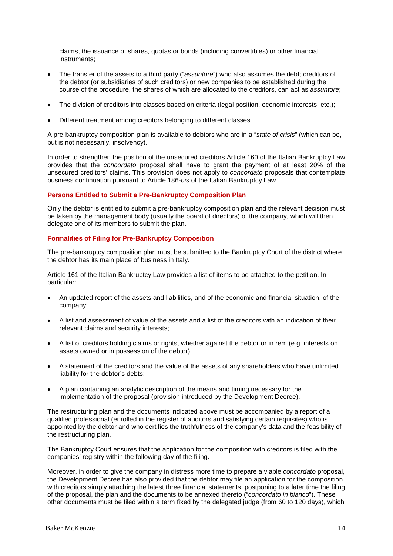claims, the issuance of shares, quotas or bonds (including convertibles) or other financial instruments;

- The transfer of the assets to a third party ("*assuntore*") who also assumes the debt; creditors of the debtor (or subsidiaries of such creditors) or new companies to be established during the course of the procedure, the shares of which are allocated to the creditors, can act as *assuntore*;
- The division of creditors into classes based on criteria (legal position, economic interests, etc.);
- Different treatment among creditors belonging to different classes.

A pre-bankruptcy composition plan is available to debtors who are in a "*state of crisis*" (which can be, but is not necessarily, insolvency).

In order to strengthen the position of the unsecured creditors Article 160 of the Italian Bankruptcy Law provides that the *concordato* proposal shall have to grant the payment of at least 20% of the unsecured creditors' claims. This provision does not apply to *concordato* proposals that contemplate business continuation pursuant to Article 186-*bis* of the Italian Bankruptcy Law.

#### **Persons Entitled to Submit a Pre-Bankruptcy Composition Plan**

Only the debtor is entitled to submit a pre-bankruptcy composition plan and the relevant decision must be taken by the management body (usually the board of directors) of the company, which will then delegate one of its members to submit the plan.

#### **Formalities of Filing for Pre-Bankruptcy Composition**

The pre-bankruptcy composition plan must be submitted to the Bankruptcy Court of the district where the debtor has its main place of business in Italy.

Article 161 of the Italian Bankruptcy Law provides a list of items to be attached to the petition. In particular:

- An updated report of the assets and liabilities, and of the economic and financial situation, of the company;
- A list and assessment of value of the assets and a list of the creditors with an indication of their relevant claims and security interests;
- A list of creditors holding claims or rights, whether against the debtor or in rem (e.g. interests on assets owned or in possession of the debtor);
- A statement of the creditors and the value of the assets of any shareholders who have unlimited liability for the debtor's debts;
- A plan containing an analytic description of the means and timing necessary for the implementation of the proposal (provision introduced by the Development Decree).

The restructuring plan and the documents indicated above must be accompanied by a report of a qualified professional (enrolled in the register of auditors and satisfying certain requisites) who is appointed by the debtor and who certifies the truthfulness of the company's data and the feasibility of the restructuring plan.

The Bankruptcy Court ensures that the application for the composition with creditors is filed with the companies' registry within the following day of the filing.

Moreover, in order to give the company in distress more time to prepare a viable *concordato* proposal, the Development Decree has also provided that the debtor may file an application for the composition with creditors simply attaching the latest three financial statements, postponing to a later time the filing of the proposal, the plan and the documents to be annexed thereto ("*concordato in bianco*"). These other documents must be filed within a term fixed by the delegated judge (from 60 to 120 days), which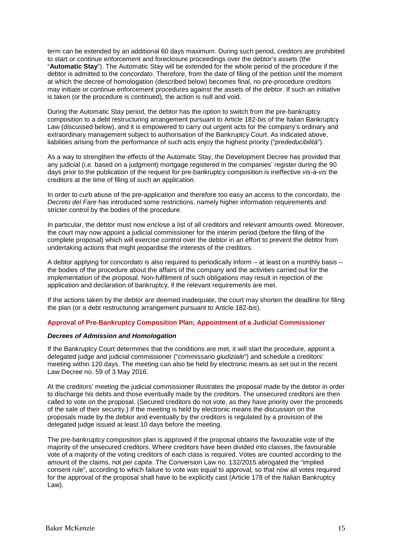term can be extended by an additional 60 days maximum. During such period, creditors are prohibited to start or continue enforcement and foreclosure proceedings over the debtor's assets (the "**Automatic Stay**"). The Automatic Stay will be extended for the whole period of the procedure if the debtor is admitted to the *concordato*. Therefore, from the date of filing of the petition until the moment at which the decree of homologation (described below) becomes final, no pre-procedure creditors may initiate or continue enforcement procedures against the assets of the debtor. If such an initiative is taken (or the procedure is continued), the action is null and void.

During the Automatic Stay period, the debtor has the option to switch from the pre-bankruptcy composition to a debt restructuring arrangement pursuant to Article 182-*bis* of the Italian Bankruptcy Law (discussed below), and it is empowered to carry out urgent acts for the company's ordinary and extraordinary management subject to authorisation of the Bankruptcy Court. As indicated above, liabilities arising from the performance of such acts enjoy the highest priority ("*prededucibilità*").

As a way to strengthen the effects of the Automatic Stay, the Development Decree has provided that any judicial (i.e. based on a judgment) mortgage registered in the companies' register during the 90 days prior to the publication of the request for pre-bankruptcy composition is ineffective *vis-à-vis* the creditors at the time of filing of such an application.

In order to curb abuse of the pre-application and therefore too easy an access to the *concordato,* the *Decreto del Fare* has introduced some restrictions, namely higher information requirements and stricter control by the bodies of the procedure.

In particular, the debtor must now enclose a list of all creditors and relevant amounts owed. Moreover, the court may now appoint a judicial commissioner for the interim period (before the filing of the complete proposal) which will exercise control over the debtor in an effort to prevent the debtor from undertaking actions that might jeopardise the interests of the creditors.

A debtor applying for *concordato* is also required to periodically inform – at least on a monthly basis – the bodies of the procedure about the affairs of the company and the activities carried out for the implementation of the proposal. Non-fulfilment of such obligations may result in rejection of the application and declaration of bankruptcy, if the relevant requirements are met.

If the actions taken by the debtor are deemed inadequate, the court may shorten the deadline for filing the plan (or a debt restructuring arrangement pursuant to Article 182-*bis*).

#### **Approval of Pre-Bankruptcy Composition Plan; Appointment of a Judicial Commissioner**

#### *Decrees of Admission and Homologation*

If the Bankruptcy Court determines that the conditions are met, it will start the procedure, appoint a delegated judge and judicial commissioner ("*commissario giudiziale*") and schedule a creditors' meeting within 120 days. The meeting can also be held by electronic means as set out in the recent Law Decree no. 59 of 3 May 2016.

At the creditors' meeting the judicial commissioner illustrates the proposal made by the debtor in order to discharge his debts and those eventually made by the creditors. The unsecured creditors are then called to vote on the proposal. (Secured creditors do not vote, as they have priority over the proceeds of the sale of their security.) If the meeting is held by electronic means the discussion on the proposals made by the debtor and eventually by the creditors is regulated by a provision of the delegated judge issued at least 10 days before the meeting.

The pre-bankruptcy composition plan is approved if the proposal obtains the favourable vote of the majority of the unsecured creditors. Where creditors have been divided into classes, the favourable vote of a majority of the voting creditors of each class is required. Votes are counted according to the amount of the claims, not *per capita*. The Conversion Law no. 132/2015 abrogated the "implied consent rule", according to which failure to vote was equal to approval, so that now all votes required for the approval of the proposal shall have to be explicitly cast (Article 178 of the Italian Bankruptcy Law).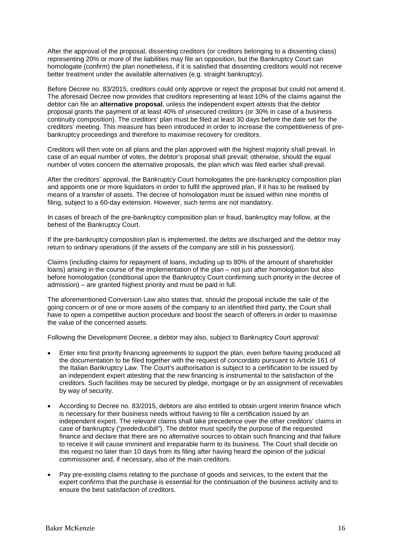After the approval of the proposal, dissenting creditors (or creditors belonging to a dissenting class) representing 20% or more of the liabilities may file an opposition, but the Bankruptcy Court can homologate (confirm) the plan nonetheless, if it is satisfied that dissenting creditors would not receive better treatment under the available alternatives (e.g. straight bankruptcy).

Before Decree no. 83/2015, creditors could only approve or reject the proposal but could not amend it. The aforesaid Decree now provides that creditors representing at least 10% of the claims against the debtor can file an **alternative proposal**, unless the independent expert attests that the debtor proposal grants the payment of at least 40% of unsecured creditors (or 30% in case of a business continuity composition). The creditors' plan must be filed at least 30 days before the date set for the creditors' meeting. This measure has been introduced in order to increase the competitiveness of prebankruptcy proceedings and therefore to maximise recovery for creditors.

Creditors will then vote on all plans and the plan approved with the highest majority shall prevail. In case of an equal number of votes, the debtor's proposal shall prevail; otherwise, should the equal number of votes concern the alternative proposals, the plan which was filed earlier shall prevail.

After the creditors' approval, the Bankruptcy Court homologates the pre-bankruptcy composition plan and appoints one or more liquidators in order to fulfil the approved plan, if it has to be realised by means of a transfer of assets. The decree of homologation must be issued within nine months of filing, subject to a 60-day extension. However, such terms are not mandatory.

In cases of breach of the pre-bankruptcy composition plan or fraud, bankruptcy may follow, at the behest of the Bankruptcy Court.

If the pre-bankruptcy composition plan is implemented, the debts are discharged and the debtor may return to ordinary operations (if the assets of the company are still in his possession).

Claims (including claims for repayment of loans, including up to 80% of the amount of shareholder loans) arising in the course of the implementation of the plan – not just after homologation but also before homologation (conditional upon the Bankruptcy Court confirming such priority in the decree of admission) – are granted highest priority and must be paid in full.

The aforementioned Conversion Law also states that, should the proposal include the sale of the going concern or of one or more assets of the company to an identified third party, the Court shall have to open a competitive auction procedure and boost the search of offerers in order to maximise the value of the concerned assets.

Following the Development Decree, a debtor may also, subject to Bankruptcy Court approval:

- Enter into first priority financing agreements to support the plan, even before having produced all the documentation to be filed together with the request of *concordato* pursuant to Article 161 of the Italian Bankruptcy Law. The Court's authorisation is subject to a certification to be issued by an independent expert attesting that the new financing is instrumental to the satisfaction of the creditors. Such facilities may be secured by pledge, mortgage or by an assignment of receivables by way of security.
- According to Decree no. 83/2015, debtors are also entitled to obtain urgent interim finance which is necessary for their business needs without having to file a certification issued by an independent expert. The relevant claims shall take precedence over the other creditors' claims in case of bankruptcy ("*prededucibili*"). The debtor must specify the purpose of the requested finance and declare that there are no alternative sources to obtain such financing and that failure to receive it will cause imminent and irreparable harm to its business. The Court shall decide on this request no later than 10 days from its filing after having heard the opinion of the judicial commissioner and, if necessary, also of the main creditors.
- Pay pre-existing claims relating to the purchase of goods and services, to the extent that the expert confirms that the purchase is essential for the continuation of the business activity and to ensure the best satisfaction of creditors.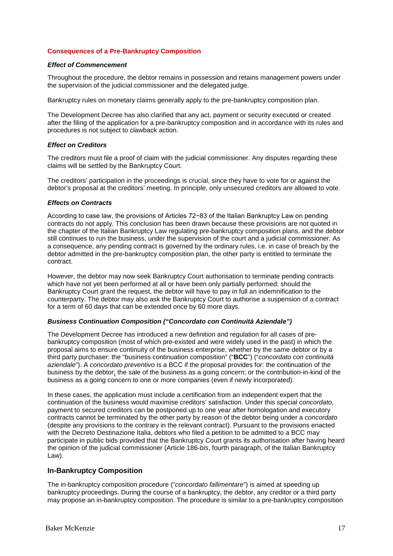#### **Consequences of a Pre-Bankruptcy Composition**

#### *Effect of Commencement*

Throughout the procedure, the debtor remains in possession and retains management powers under the supervision of the judicial commissioner and the delegated judge.

Bankruptcy rules on monetary claims generally apply to the pre-bankruptcy composition plan.

The Development Decree has also clarified that any act, payment or security executed or created after the filing of the application for a pre-bankruptcy composition and in accordance with its rules and procedures is not subject to clawback action.

#### *Effect on Creditors*

The creditors must file a proof of claim with the judicial commissioner. Any disputes regarding these claims will be settled by the Bankruptcy Court.

The creditors' participation in the proceedings is crucial, since they have to vote for or against the debtor's proposal at the creditors' meeting. In principle, only unsecured creditors are allowed to vote.

#### *Effects on Contracts*

According to case law, the provisions of Articles 72−83 of the Italian Bankruptcy Law on pending contracts do not apply. This conclusion has been drawn because these provisions are not quoted in the chapter of the Italian Bankruptcy Law regulating pre-bankruptcy composition plans, and the debtor still continues to run the business, under the supervision of the court and a judicial commissioner. As a consequence, any pending contract is governed by the ordinary rules, i.e. in case of breach by the debtor admitted in the pre-bankruptcy composition plan, the other party is entitled to terminate the contract.

However, the debtor may now seek Bankruptcy Court authorisation to terminate pending contracts which have not yet been performed at all or have been only partially performed; should the Bankruptcy Court grant the request, the debtor will have to pay in full an indemnification to the counterparty. The debtor may also ask the Bankruptcy Court to authorise a suspension of a contract for a term of 60 days that can be extended once by 60 more days.

#### *Business Continuation Composition ("Concordato con Continuità Aziendale")*

The Development Decree has introduced a new definition and regulation for all cases of prebankruptcy composition (most of which pre-existed and were widely used in the past) in which the proposal aims to ensure continuity of the business enterprise, whether by the same debtor or by a third party purchaser: the "business continuation composition" ("**BCC**") ("*concordato con continuità aziendale*"). A *concordato preventivo* is a BCC if the proposal provides for: the continuation of the business by the debtor; the sale of the business as a going concern; or the contribution-in-kind of the business as a going concern to one or more companies (even if newly incorporated).

In these cases, the application must include a certification from an independent expert that the continuation of the business would maximise creditors' satisfaction. Under this special *concordato*, payment to secured creditors can be postponed up to one year after homologation and executory contracts cannot be terminated by the other party by reason of the debtor being under a *concordato* (despite any provisions to the contrary in the relevant contract). Pursuant to the provisions enacted with the Decreto Destinazione Italia, debtors who filed a petition to be admitted to a BCC may participate in public bids provided that the Bankruptcy Court grants its authorisation after having heard the opinion of the judicial commissioner (Article 186-*bis*, fourth paragraph, of the Italian Bankruptcy Law).

#### **In-Bankruptcy Composition**

The in-bankruptcy composition procedure ("*concordato fallimentare*") is aimed at speeding up bankruptcy proceedings. During the course of a bankruptcy, the debtor, any creditor or a third party may propose an in-bankruptcy composition. The procedure is similar to a pre-bankruptcy composition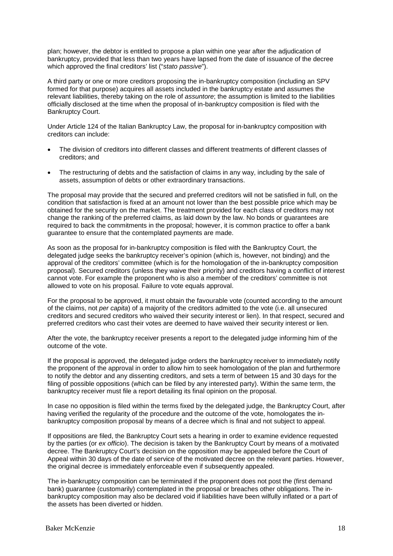plan; however, the debtor is entitled to propose a plan within one year after the adjudication of bankruptcy, provided that less than two years have lapsed from the date of issuance of the decree which approved the final creditors' list ("*stato passive*").

A third party or one or more creditors proposing the in-bankruptcy composition (including an SPV formed for that purpose) acquires all assets included in the bankruptcy estate and assumes the relevant liabilities, thereby taking on the role of *assuntore*; the assumption is limited to the liabilities officially disclosed at the time when the proposal of in-bankruptcy composition is filed with the Bankruptcy Court.

Under Article 124 of the Italian Bankruptcy Law, the proposal for in-bankruptcy composition with creditors can include:

- The division of creditors into different classes and different treatments of different classes of creditors; and
- The restructuring of debts and the satisfaction of claims in any way, including by the sale of assets, assumption of debts or other extraordinary transactions.

The proposal may provide that the secured and preferred creditors will not be satisfied in full, on the condition that satisfaction is fixed at an amount not lower than the best possible price which may be obtained for the security on the market. The treatment provided for each class of creditors may not change the ranking of the preferred claims, as laid down by the law. No bonds or guarantees are required to back the commitments in the proposal; however, it is common practice to offer a bank guarantee to ensure that the contemplated payments are made.

As soon as the proposal for in-bankruptcy composition is filed with the Bankruptcy Court, the delegated judge seeks the bankruptcy receiver's opinion (which is, however, not binding) and the approval of the creditors' committee (which is for the homologation of the in-bankruptcy composition proposal). Secured creditors (unless they waive their priority) and creditors having a conflict of interest cannot vote. For example the proponent who is also a member of the creditors' committee is not allowed to vote on his proposal. Failure to vote equals approval.

For the proposal to be approved, it must obtain the favourable vote (counted according to the amount of the claims, not *per capita*) of a majority of the creditors admitted to the vote (i.e. all unsecured creditors and secured creditors who waived their security interest or lien). In that respect, secured and preferred creditors who cast their votes are deemed to have waived their security interest or lien.

After the vote, the bankruptcy receiver presents a report to the delegated judge informing him of the outcome of the vote.

If the proposal is approved, the delegated judge orders the bankruptcy receiver to immediately notify the proponent of the approval in order to allow him to seek homologation of the plan and furthermore to notify the debtor and any dissenting creditors, and sets a term of between 15 and 30 days for the filing of possible oppositions (which can be filed by any interested party). Within the same term, the bankruptcy receiver must file a report detailing its final opinion on the proposal.

In case no opposition is filed within the terms fixed by the delegated judge, the Bankruptcy Court, after having verified the regularity of the procedure and the outcome of the vote, homologates the inbankruptcy composition proposal by means of a decree which is final and not subject to appeal.

If oppositions are filed, the Bankruptcy Court sets a hearing in order to examine evidence requested by the parties (or *ex officio*). The decision is taken by the Bankruptcy Court by means of a motivated decree. The Bankruptcy Court's decision on the opposition may be appealed before the Court of Appeal within 30 days of the date of service of the motivated decree on the relevant parties. However, the original decree is immediately enforceable even if subsequently appealed.

The in-bankruptcy composition can be terminated if the proponent does not post the (first demand bank) guarantee (customarily) contemplated in the proposal or breaches other obligations. The inbankruptcy composition may also be declared void if liabilities have been wilfully inflated or a part of the assets has been diverted or hidden.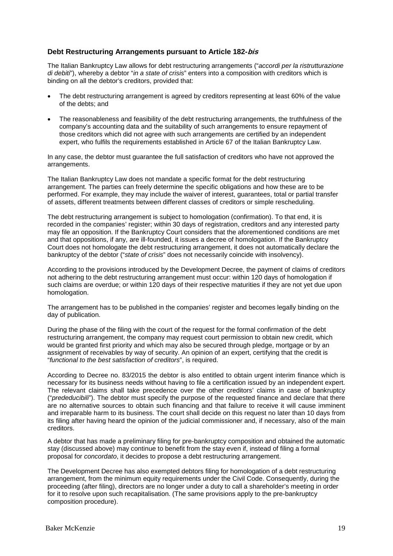#### **Debt Restructuring Arrangements pursuant to Article 182-bis**

The Italian Bankruptcy Law allows for debt restructuring arrangements ("*accordi per la ristrutturazione di debiti*"), whereby a debtor "*in a state of crisis*" enters into a composition with creditors which is binding on all the debtor's creditors, provided that:

- The debt restructuring arrangement is agreed by creditors representing at least 60% of the value of the debts; and
- The reasonableness and feasibility of the debt restructuring arrangements, the truthfulness of the company's accounting data and the suitability of such arrangements to ensure repayment of those creditors which did not agree with such arrangements are certified by an independent expert, who fulfils the requirements established in Article 67 of the Italian Bankruptcy Law.

In any case, the debtor must guarantee the full satisfaction of creditors who have not approved the arrangements.

The Italian Bankruptcy Law does not mandate a specific format for the debt restructuring arrangement. The parties can freely determine the specific obligations and how these are to be performed. For example, they may include the waiver of interest, guarantees, total or partial transfer of assets, different treatments between different classes of creditors or simple rescheduling.

The debt restructuring arrangement is subject to homologation (confirmation). To that end, it is recorded in the companies' register; within 30 days of registration, creditors and any interested party may file an opposition. If the Bankruptcy Court considers that the aforementioned conditions are met and that oppositions, if any, are ill-founded, it issues a decree of homologation. If the Bankruptcy Court does not homologate the debt restructuring arrangement, it does not automatically declare the bankruptcy of the debtor ("*state of crisis*" does not necessarily coincide with insolvency).

According to the provisions introduced by the Development Decree, the payment of claims of creditors not adhering to the debt restructuring arrangement must occur: within 120 days of homologation if such claims are overdue; or within 120 days of their respective maturities if they are not yet due upon homologation.

The arrangement has to be published in the companies' register and becomes legally binding on the day of publication.

During the phase of the filing with the court of the request for the formal confirmation of the debt restructuring arrangement, the company may request court permission to obtain new credit, which would be granted first priority and which may also be secured through pledge, mortgage or by an assignment of receivables by way of security. An opinion of an expert, certifying that the credit is "*functional to the best satisfaction of creditors*", is required.

According to Decree no. 83/2015 the debtor is also entitled to obtain urgent interim finance which is necessary for its business needs without having to file a certification issued by an independent expert. The relevant claims shall take precedence over the other creditors' claims in case of bankruptcy ("*prededucibili*"). The debtor must specify the purpose of the requested finance and declare that there are no alternative sources to obtain such financing and that failure to receive it will cause imminent and irreparable harm to its business. The court shall decide on this request no later than 10 days from its filing after having heard the opinion of the judicial commissioner and, if necessary, also of the main creditors.

A debtor that has made a preliminary filing for pre-bankruptcy composition and obtained the automatic stay (discussed above) may continue to benefit from the stay even if, instead of filing a formal proposal for *concordato*, it decides to propose a debt restructuring arrangement.

The Development Decree has also exempted debtors filing for homologation of a debt restructuring arrangement, from the minimum equity requirements under the Civil Code. Consequently, during the proceeding (after filing), directors are no longer under a duty to call a shareholder's meeting in order for it to resolve upon such recapitalisation. (The same provisions apply to the pre-bankruptcy composition procedure).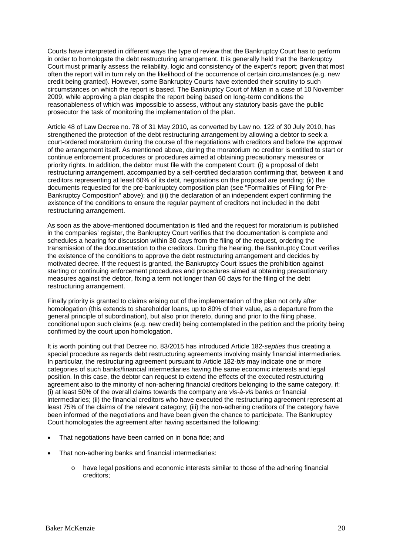Courts have interpreted in different ways the type of review that the Bankruptcy Court has to perform in order to homologate the debt restructuring arrangement. It is generally held that the Bankruptcy Court must primarily assess the reliability, logic and consistency of the expert's report; given that most often the report will in turn rely on the likelihood of the occurrence of certain circumstances (e.g. new credit being granted). However, some Bankruptcy Courts have extended their scrutiny to such circumstances on which the report is based. The Bankruptcy Court of Milan in a case of 10 November 2009, while approving a plan despite the report being based on long-term conditions the reasonableness of which was impossible to assess, without any statutory basis gave the public prosecutor the task of monitoring the implementation of the plan.

Article 48 of Law Decree no. 78 of 31 May 2010, as converted by Law no. 122 of 30 July 2010, has strengthened the protection of the debt restructuring arrangement by allowing a debtor to seek a court-ordered moratorium during the course of the negotiations with creditors and before the approval of the arrangement itself. As mentioned above, during the moratorium no creditor is entitled to start or continue enforcement procedures or procedures aimed at obtaining precautionary measures or priority rights. In addition, the debtor must file with the competent Court: (i) a proposal of debt restructuring arrangement, accompanied by a self-certified declaration confirming that, between it and creditors representing at least 60% of its debt, negotiations on the proposal are pending; (ii) the documents requested for the pre-bankruptcy composition plan (see "Formalities of Filing for Pre-Bankruptcy Composition" above); and (iii) the declaration of an independent expert confirming the existence of the conditions to ensure the regular payment of creditors not included in the debt restructuring arrangement.

As soon as the above-mentioned documentation is filed and the request for moratorium is published in the companies' register, the Bankruptcy Court verifies that the documentation is complete and schedules a hearing for discussion within 30 days from the filing of the request, ordering the transmission of the documentation to the creditors. During the hearing, the Bankruptcy Court verifies the existence of the conditions to approve the debt restructuring arrangement and decides by motivated decree. If the request is granted, the Bankruptcy Court issues the prohibition against starting or continuing enforcement procedures and procedures aimed at obtaining precautionary measures against the debtor, fixing a term not longer than 60 days for the filing of the debt restructuring arrangement.

Finally priority is granted to claims arising out of the implementation of the plan not only after homologation (this extends to shareholder loans, up to 80% of their value, as a departure from the general principle of subordination), but also prior thereto, during and prior to the filing phase, conditional upon such claims (e.g. new credit) being contemplated in the petition and the priority being confirmed by the court upon homologation.

It is worth pointing out that Decree no. 83/2015 has introduced Article 182-*septies* thus creating a special procedure as regards debt restructuring agreements involving mainly financial intermediaries. In particular, the restructuring agreement pursuant to Article 182-*bis* may indicate one or more categories of such banks/financial intermediaries having the same economic interests and legal position. In this case, the debtor can request to extend the effects of the executed restructuring agreement also to the minority of non-adhering financial creditors belonging to the same category, if: (i) at least 50% of the overall claims towards the company are *vis-à-vis* banks or financial intermediaries; (ii) the financial creditors who have executed the restructuring agreement represent at least 75% of the claims of the relevant category; (iii) the non-adhering creditors of the category have been informed of the negotiations and have been given the chance to participate. The Bankruptcy Court homologates the agreement after having ascertained the following:

- That negotiations have been carried on in bona fide; and
- That non-adhering banks and financial intermediaries:
	- o have legal positions and economic interests similar to those of the adhering financial creditors;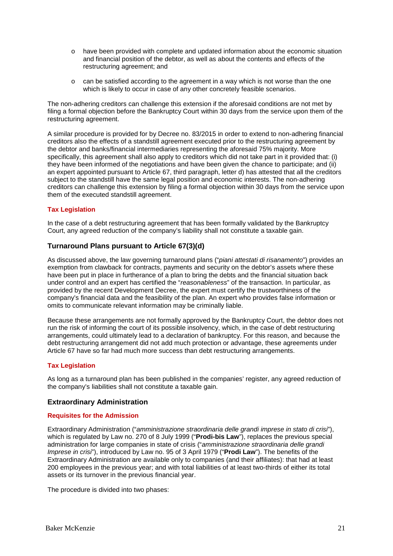- o have been provided with complete and updated information about the economic situation and financial position of the debtor, as well as about the contents and effects of the restructuring agreement; and
- $\circ$  can be satisfied according to the agreement in a way which is not worse than the one which is likely to occur in case of any other concretely feasible scenarios.

The non-adhering creditors can challenge this extension if the aforesaid conditions are not met by filing a formal objection before the Bankruptcy Court within 30 days from the service upon them of the restructuring agreement.

A similar procedure is provided for by Decree no. 83/2015 in order to extend to non-adhering financial creditors also the effects of a standstill agreement executed prior to the restructuring agreement by the debtor and banks/financial intermediaries representing the aforesaid 75% majority. More specifically, this agreement shall also apply to creditors which did not take part in it provided that: (i) they have been informed of the negotiations and have been given the chance to participate; and (ii) an expert appointed pursuant to Article 67, third paragraph, letter d) has attested that all the creditors subject to the standstill have the same legal position and economic interests. The non-adhering creditors can challenge this extension by filing a formal objection within 30 days from the service upon them of the executed standstill agreement.

#### **Tax Legislation**

In the case of a debt restructuring agreement that has been formally validated by the Bankruptcy Court, any agreed reduction of the company's liability shall not constitute a taxable gain.

#### **Turnaround Plans pursuant to Article 67(3)(d)**

As discussed above, the law governing turnaround plans ("*piani attestati di risanamento*") provides an exemption from clawback for contracts, payments and security on the debtor's assets where these have been put in place in furtherance of a plan to bring the debts and the financial situation back under control and an expert has certified the "*reasonableness*" of the transaction. In particular, as provided by the recent Development Decree, the expert must certify the trustworthiness of the company's financial data and the feasibility of the plan. An expert who provides false information or omits to communicate relevant information may be criminally liable.

Because these arrangements are not formally approved by the Bankruptcy Court, the debtor does not run the risk of informing the court of its possible insolvency, which, in the case of debt restructuring arrangements, could ultimately lead to a declaration of bankruptcy. For this reason, and because the debt restructuring arrangement did not add much protection or advantage, these agreements under Article 67 have so far had much more success than debt restructuring arrangements.

#### **Tax Legislation**

As long as a turnaround plan has been published in the companies' register, any agreed reduction of the company's liabilities shall not constitute a taxable gain.

#### **Extraordinary Administration**

#### **Requisites for the Admission**

Extraordinary Administration ("*amministrazione straordinaria delle grandi imprese in stato di crisi*"), which is regulated by Law no. 270 of 8 July 1999 ("**Prodi-bis Law**"), replaces the previous special administration for large companies in state of crisis ("*amministrazione straordinaria delle grandi Imprese in crisi*"), introduced by Law no. 95 of 3 April 1979 ("**Prodi Law**"). The benefits of the Extraordinary Administration are available only to companies (and their affiliates): that had at least 200 employees in the previous year; and with total liabilities of at least two-thirds of either its total assets or its turnover in the previous financial year.

The procedure is divided into two phases: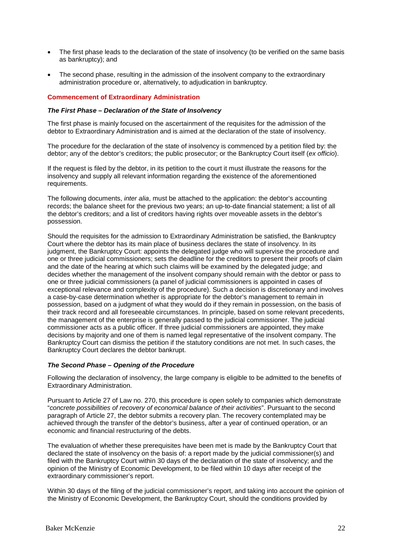- The first phase leads to the declaration of the state of insolvency (to be verified on the same basis as bankruptcy); and
- The second phase, resulting in the admission of the insolvent company to the extraordinary administration procedure or, alternatively, to adjudication in bankruptcy.

#### **Commencement of Extraordinary Administration**

#### *The First Phase – Declaration of the State of Insolvency*

The first phase is mainly focused on the ascertainment of the requisites for the admission of the debtor to Extraordinary Administration and is aimed at the declaration of the state of insolvency.

The procedure for the declaration of the state of insolvency is commenced by a petition filed by: the debtor; any of the debtor's creditors; the public prosecutor; or the Bankruptcy Court itself (*ex officio*).

If the request is filed by the debtor, in its petition to the court it must illustrate the reasons for the insolvency and supply all relevant information regarding the existence of the aforementioned requirements.

The following documents, *inter alia*, must be attached to the application: the debtor's accounting records; the balance sheet for the previous two years; an up-to-date financial statement; a list of all the debtor's creditors; and a list of creditors having rights over moveable assets in the debtor's possession.

Should the requisites for the admission to Extraordinary Administration be satisfied, the Bankruptcy Court where the debtor has its main place of business declares the state of insolvency. In its judgment, the Bankruptcy Court: appoints the delegated judge who will supervise the procedure and one or three judicial commissioners; sets the deadline for the creditors to present their proofs of claim and the date of the hearing at which such claims will be examined by the delegated judge; and decides whether the management of the insolvent company should remain with the debtor or pass to one or three judicial commissioners (a panel of judicial commissioners is appointed in cases of exceptional relevance and complexity of the procedure). Such a decision is discretionary and involves a case-by-case determination whether is appropriate for the debtor's management to remain in possession, based on a judgment of what they would do if they remain in possession, on the basis of their track record and all foreseeable circumstances. In principle, based on some relevant precedents, the management of the enterprise is generally passed to the judicial commissioner. The judicial commissioner acts as a public officer. If three judicial commissioners are appointed, they make decisions by majority and one of them is named legal representative of the insolvent company. The Bankruptcy Court can dismiss the petition if the statutory conditions are not met. In such cases, the Bankruptcy Court declares the debtor bankrupt.

#### *The Second Phase – Opening of the Procedure*

Following the declaration of insolvency, the large company is eligible to be admitted to the benefits of Extraordinary Administration.

Pursuant to Article 27 of Law no. 270, this procedure is open solely to companies which demonstrate "*concrete possibilities of recovery of economical balance of their activities*". Pursuant to the second paragraph of Article 27, the debtor submits a recovery plan. The recovery contemplated may be achieved through the transfer of the debtor's business, after a year of continued operation, or an economic and financial restructuring of the debts.

The evaluation of whether these prerequisites have been met is made by the Bankruptcy Court that declared the state of insolvency on the basis of: a report made by the judicial commissioner(s) and filed with the Bankruptcy Court within 30 days of the declaration of the state of insolvency; and the opinion of the Ministry of Economic Development, to be filed within 10 days after receipt of the extraordinary commissioner's report.

Within 30 days of the filing of the judicial commissioner's report, and taking into account the opinion of the Ministry of Economic Development, the Bankruptcy Court, should the conditions provided by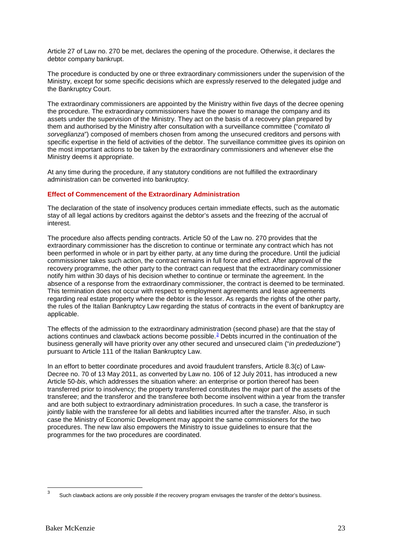Article 27 of Law no. 270 be met, declares the opening of the procedure. Otherwise, it declares the debtor company bankrupt.

The procedure is conducted by one or three extraordinary commissioners under the supervision of the Ministry, except for some specific decisions which are expressly reserved to the delegated judge and the Bankruptcy Court.

The extraordinary commissioners are appointed by the Ministry within five days of the decree opening the procedure. The extraordinary commissioners have the power to manage the company and its assets under the supervision of the Ministry. They act on the basis of a recovery plan prepared by them and authorised by the Ministry after consultation with a surveillance committee ("*comitato di sorveglianza*") composed of members chosen from among the unsecured creditors and persons with specific expertise in the field of activities of the debtor. The surveillance committee gives its opinion on the most important actions to be taken by the extraordinary commissioners and whenever else the Ministry deems it appropriate.

At any time during the procedure, if any statutory conditions are not fulfilled the extraordinary administration can be converted into bankruptcy.

#### **Effect of Commencement of the Extraordinary Administration**

The declaration of the state of insolvency produces certain immediate effects, such as the automatic stay of all legal actions by creditors against the debtor's assets and the freezing of the accrual of interest.

The procedure also affects pending contracts. Article 50 of the Law no. 270 provides that the extraordinary commissioner has the discretion to continue or terminate any contract which has not been performed in whole or in part by either party, at any time during the procedure. Until the judicial commissioner takes such action, the contract remains in full force and effect. After approval of the recovery programme, the other party to the contract can request that the extraordinary commissioner notify him within 30 days of his decision whether to continue or terminate the agreement. In the absence of a response from the extraordinary commissioner, the contract is deemed to be terminated. This termination does not occur with respect to employment agreements and lease agreements regarding real estate property where the debtor is the lessor. As regards the rights of the other party, the rules of the Italian Bankruptcy Law regarding the status of contracts in the event of bankruptcy are applicable.

The effects of the admission to the extraordinary administration (second phase) are that the stay of actions continues and clawback actions become possible. $^3$  $^3$  Debts incurred in the continuation of the business generally will have priority over any other secured and unsecured claim ("*in prededuzione*") pursuant to Article 111 of the Italian Bankruptcy Law.

In an effort to better coordinate procedures and avoid fraudulent transfers, Article 8.3(c) of Law-Decree no. 70 of 13 May 2011, as converted by Law no. 106 of 12 July 2011, has introduced a new Article 50-*bis*, which addresses the situation where: an enterprise or portion thereof has been transferred prior to insolvency; the property transferred constitutes the major part of the assets of the transferee; and the transferor and the transferee both become insolvent within a year from the transfer and are both subject to extraordinary administration procedures. In such a case, the transferor is jointly liable with the transferee for all debts and liabilities incurred after the transfer. Also, in such case the Ministry of Economic Development may appoint the same commissioners for the two procedures. The new law also empowers the Ministry to issue guidelines to ensure that the programmes for the two procedures are coordinated.

<span id="page-22-0"></span>Such clawback actions are only possible if the recovery program envisages the transfer of the debtor's business. 3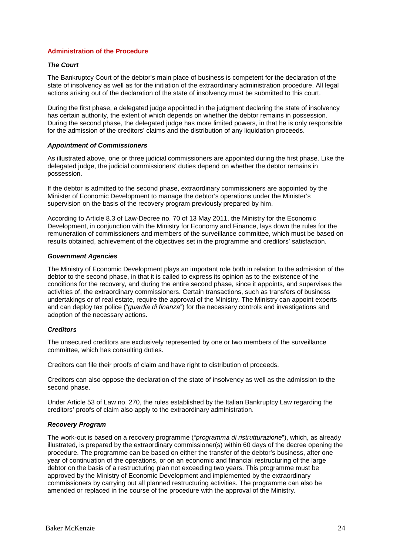#### **Administration of the Procedure**

#### *The Court*

The Bankruptcy Court of the debtor's main place of business is competent for the declaration of the state of insolvency as well as for the initiation of the extraordinary administration procedure. All legal actions arising out of the declaration of the state of insolvency must be submitted to this court.

During the first phase, a delegated judge appointed in the judgment declaring the state of insolvency has certain authority, the extent of which depends on whether the debtor remains in possession. During the second phase, the delegated judge has more limited powers, in that he is only responsible for the admission of the creditors' claims and the distribution of any liquidation proceeds.

#### *Appointment of Commissioners*

As illustrated above, one or three judicial commissioners are appointed during the first phase. Like the delegated judge, the judicial commissioners' duties depend on whether the debtor remains in possession.

If the debtor is admitted to the second phase, extraordinary commissioners are appointed by the Minister of Economic Development to manage the debtor's operations under the Minister's supervision on the basis of the recovery program previously prepared by him.

According to Article 8.3 of Law-Decree no. 70 of 13 May 2011, the Ministry for the Economic Development, in conjunction with the Ministry for Economy and Finance, lays down the rules for the remuneration of commissioners and members of the surveillance committee, which must be based on results obtained, achievement of the objectives set in the programme and creditors' satisfaction.

#### *Government Agencies*

The Ministry of Economic Development plays an important role both in relation to the admission of the debtor to the second phase, in that it is called to express its opinion as to the existence of the conditions for the recovery, and during the entire second phase, since it appoints, and supervises the activities of, the extraordinary commissioners. Certain transactions, such as transfers of business undertakings or of real estate, require the approval of the Ministry. The Ministry can appoint experts and can deploy tax police ("*guardia di finanza*") for the necessary controls and investigations and adoption of the necessary actions.

#### *Creditors*

The unsecured creditors are exclusively represented by one or two members of the surveillance committee, which has consulting duties.

Creditors can file their proofs of claim and have right to distribution of proceeds.

Creditors can also oppose the declaration of the state of insolvency as well as the admission to the second phase.

Under Article 53 of Law no. 270, the rules established by the Italian Bankruptcy Law regarding the creditors' proofs of claim also apply to the extraordinary administration.

#### *Recovery Program*

The work-out is based on a recovery programme ("*programma di ristrutturazione*"), which, as already illustrated, is prepared by the extraordinary commissioner(s) within 60 days of the decree opening the procedure. The programme can be based on either the transfer of the debtor's business, after one year of continuation of the operations, or on an economic and financial restructuring of the large debtor on the basis of a restructuring plan not exceeding two years. This programme must be approved by the Ministry of Economic Development and implemented by the extraordinary commissioners by carrying out all planned restructuring activities. The programme can also be amended or replaced in the course of the procedure with the approval of the Ministry.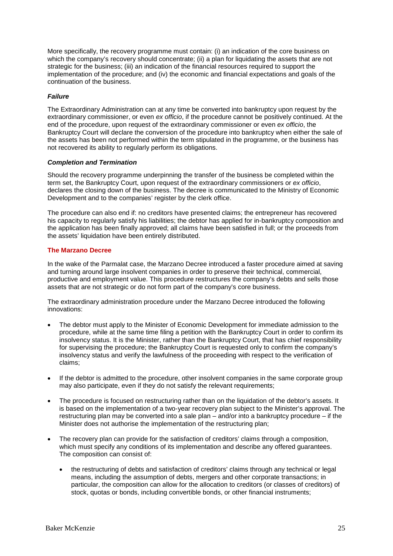More specifically, the recovery programme must contain: (i) an indication of the core business on which the company's recovery should concentrate; (ii) a plan for liquidating the assets that are not strategic for the business; (iii) an indication of the financial resources required to support the implementation of the procedure; and (iv) the economic and financial expectations and goals of the continuation of the business.

#### *Failure*

The Extraordinary Administration can at any time be converted into bankruptcy upon request by the extraordinary commissioner, or even *ex officio*, if the procedure cannot be positively continued. At the end of the procedure, upon request of the extraordinary commissioner or even *ex officio*, the Bankruptcy Court will declare the conversion of the procedure into bankruptcy when either the sale of the assets has been not performed within the term stipulated in the programme, or the business has not recovered its ability to regularly perform its obligations.

#### *Completion and Termination*

Should the recovery programme underpinning the transfer of the business be completed within the term set, the Bankruptcy Court, upon request of the extraordinary commissioners or *ex officio*, declares the closing down of the business. The decree is communicated to the Ministry of Economic Development and to the companies' register by the clerk office.

The procedure can also end if: no creditors have presented claims; the entrepreneur has recovered his capacity to regularly satisfy his liabilities; the debtor has applied for in-bankruptcy composition and the application has been finally approved; all claims have been satisfied in full; or the proceeds from the assets' liquidation have been entirely distributed.

#### **The Marzano Decree**

In the wake of the Parmalat case, the Marzano Decree introduced a faster procedure aimed at saving and turning around large insolvent companies in order to preserve their technical, commercial, productive and employment value. This procedure restructures the company's debts and sells those assets that are not strategic or do not form part of the company's core business.

The extraordinary administration procedure under the Marzano Decree introduced the following innovations:

- The debtor must apply to the Minister of Economic Development for immediate admission to the procedure, while at the same time filing a petition with the Bankruptcy Court in order to confirm its insolvency status. It is the Minister, rather than the Bankruptcy Court, that has chief responsibility for supervising the procedure; the Bankruptcy Court is requested only to confirm the company's insolvency status and verify the lawfulness of the proceeding with respect to the verification of claims;
- If the debtor is admitted to the procedure, other insolvent companies in the same corporate group may also participate, even if they do not satisfy the relevant requirements;
- The procedure is focused on restructuring rather than on the liquidation of the debtor's assets. It is based on the implementation of a two-year recovery plan subject to the Minister's approval. The restructuring plan may be converted into a sale plan – and/or into a bankruptcy procedure – if the Minister does not authorise the implementation of the restructuring plan;
- The recovery plan can provide for the satisfaction of creditors' claims through a composition, which must specify any conditions of its implementation and describe any offered guarantees. The composition can consist of:
	- the restructuring of debts and satisfaction of creditors' claims through any technical or legal means, including the assumption of debts, mergers and other corporate transactions; in particular, the composition can allow for the allocation to creditors (or classes of creditors) of stock, quotas or bonds, including convertible bonds, or other financial instruments;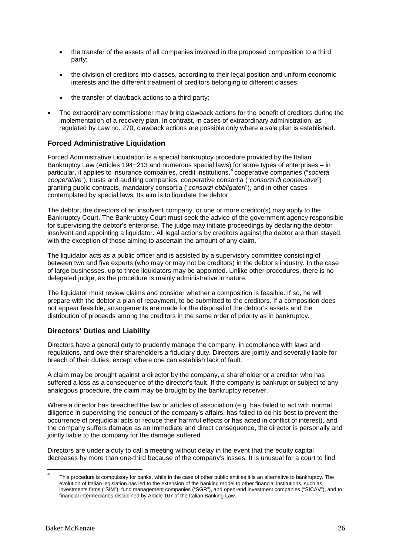- the transfer of the assets of all companies involved in the proposed composition to a third party;
- the division of creditors into classes, according to their legal position and uniform economic interests and the different treatment of creditors belonging to different classes;
- the transfer of clawback actions to a third party;
- The extraordinary commissioner may bring clawback actions for the benefit of creditors during the implementation of a recovery plan. In contrast, in cases of extraordinary administration, as regulated by Law no. 270, clawback actions are possible only where a sale plan is established.

#### **Forced Administrative Liquidation**

Forced Administrative Liquidation is a special bankruptcy procedure provided by the Italian Bankruptcy Law (Articles 194−213 and numerous special laws) for some types of enterprises – in particular, it applies to insurance companies, credit institutions,[4](#page-25-0) cooperative companies ("*società cooperative*"), trusts and auditing companies, cooperative consortia ("*consorzi di cooperative*") granting public contracts, mandatory consortia ("*consorzi obbligatori*"), and in other cases contemplated by special laws. Its aim is to liquidate the debtor.

The debtor, the directors of an insolvent company, or one or more creditor(s) may apply to the Bankruptcy Court. The Bankruptcy Court must seek the advice of the government agency responsible for supervising the debtor's enterprise. The judge may initiate proceedings by declaring the debtor insolvent and appointing a liquidator. All legal actions by creditors against the debtor are then stayed, with the exception of those aiming to ascertain the amount of any claim.

The liquidator acts as a public officer and is assisted by a supervisory committee consisting of between two and five experts (who may or may not be creditors) in the debtor's industry. In the case of large businesses, up to three liquidators may be appointed. Unlike other procedures, there is no delegated judge, as the procedure is mainly administrative in nature.

The liquidator must review claims and consider whether a composition is feasible. If so, he will prepare with the debtor a plan of repayment, to be submitted to the creditors. If a composition does not appear feasible, arrangements are made for the disposal of the debtor's assets and the distribution of proceeds among the creditors in the same order of priority as in bankruptcy.

#### **Directors' Duties and Liability**

Directors have a general duty to prudently manage the company, in compliance with laws and regulations, and owe their shareholders a fiduciary duty. Directors are jointly and severally liable for breach of their duties, except where one can establish lack of fault.

A claim may be brought against a director by the company, a shareholder or a creditor who has suffered a loss as a consequence of the director's fault. If the company is bankrupt or subject to any analogous procedure, the claim may be brought by the bankruptcy receiver.

Where a director has breached the law or articles of association (e.g. has failed to act with normal diligence in supervising the conduct of the company's affairs, has failed to do his best to prevent the occurrence of prejudicial acts or reduce their harmful effects or has acted in conflict of interest), and the company suffers damage as an immediate and direct consequence, the director is personally and jointly liable to the company for the damage suffered.

Directors are under a duty to call a meeting without delay in the event that the equity capital decreases by more than one-third because of the company's losses. It is unusual for a court to find

<span id="page-25-0"></span>This procedure is compulsory for banks, while in the case of other public entities it is an alternative to bankruptcy. The evolution of Italian legislation has led to the extension of the banking model to other financial institutions, such as investments firms ("SIM"), fund management companies ("SGR"), and open-end investment companies ("SICAV"), and to financial intermediaries disciplined by Article 107 of the Italian Banking Law.  $\overline{4}$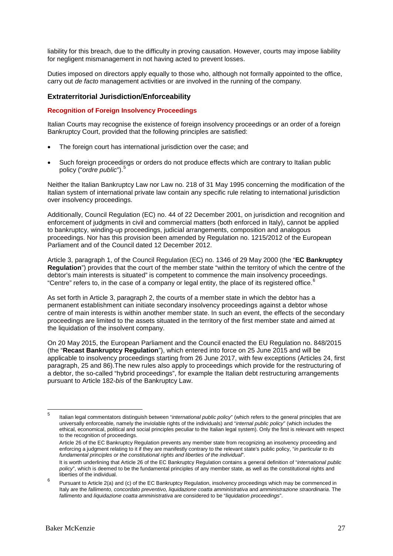liability for this breach, due to the difficulty in proving causation. However, courts may impose liability for negligent mismanagement in not having acted to prevent losses.

Duties imposed on directors apply equally to those who, although not formally appointed to the office, carry out *de facto* management activities or are involved in the running of the company.

#### **Extraterritorial Jurisdiction/Enforceability**

#### **Recognition of Foreign Insolvency Proceedings**

Italian Courts may recognise the existence of foreign insolvency proceedings or an order of a foreign Bankruptcy Court, provided that the following principles are satisfied:

- The foreign court has international jurisdiction over the case; and
- Such foreign proceedings or orders do not produce effects which are contrary to Italian public policy ("*ordre public*").<sup>[5](#page-26-0)</sup>

Neither the Italian Bankruptcy Law nor Law no. 218 of 31 May 1995 concerning the modification of the Italian system of international private law contain any specific rule relating to international jurisdiction over insolvency proceedings.

Additionally, Council Regulation (EC) no. 44 of 22 December 2001, on jurisdiction and recognition and enforcement of judgments in civil and commercial matters (both enforced in Italy), cannot be applied to bankruptcy, winding-up proceedings, judicial arrangements, composition and analogous proceedings. Nor has this provision been amended by Regulation no. 1215/2012 of the European Parliament and of the Council dated 12 December 2012.

Article 3, paragraph 1, of the Council Regulation (EC) no. 1346 of 29 May 2000 (the "**EC Bankruptcy Regulation**") provides that the court of the member state "within the territory of which the centre of the debtor's main interests is situated" is competent to commence the main insolvency proceedings. "Centre" refers to, in the case of a company or legal entity, the place of its registered office.<sup>[6](#page-26-1)</sup>

As set forth in Article 3, paragraph 2, the courts of a member state in which the debtor has a permanent establishment can initiate secondary insolvency proceedings against a debtor whose centre of main interests is within another member state. In such an event, the effects of the secondary proceedings are limited to the assets situated in the territory of the first member state and aimed at the liquidation of the insolvent company.

On 20 May 2015, the European Parliament and the Council enacted the EU Regulation no. 848/2015 (the "**Recast Bankruptcy Regulation**"), which entered into force on 25 June 2015 and will be applicable to insolvency proceedings starting from 26 June 2017, with few exceptions (Articles 24, first paragraph, 25 and 86).The new rules also apply to proceedings which provide for the restructuring of a debtor, the so-called "hybrid proceedings", for example the Italian debt restructuring arrangements pursuant to Article 182-*bis* of the Bankruptcy Law.

<span id="page-26-0"></span>Italian legal commentators distinguish between "*international public policy*" (which refers to the general principles that are universally enforceable, namely the inviolable rights of the individuals) and "*internal public policy*" (which includes the ethical, economical, political and social principles peculiar to the Italian legal system). Only the first is relevant with respect to the recognition of proceedings.  $\overline{5}$ 

Article 26 of the EC Bankruptcy Regulation prevents any member state from recognizing an insolvency proceeding and enforcing a judgment relating to it if they are manifestly contrary to the relevant state's public policy, "*in particular to its fundamental principles or the constitutional rights and liberties of the individual*".

It is worth underlining that Article 26 of the EC Bankruptcy Regulation contains a general definition of "*international public policy*", which is deemed to be the fundamental principles of any member state, as well as the constitutional rights and liberties of the individual.

<span id="page-26-1"></span><sup>6</sup> Pursuant to Article 2(a) and (c) of the EC Bankruptcy Regulation, insolvency proceedings which may be commenced in Italy are the *fallimento, concordato preventivo, liquidazione coatta amministrativa* and *amministrazione straordinaria*. The *fallimento* and *liquidazione coatta amministrativa* are considered to be "*liquidation proceedings*".